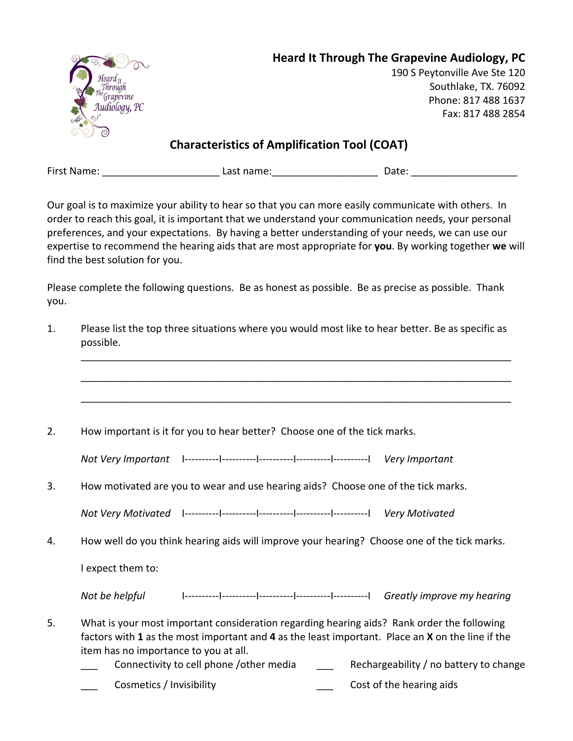|               | <b>Heard It Through The Grapevine Audiology, PC</b> |
|---------------|-----------------------------------------------------|
| Heard 11      | 190 S Peytonville Ave Ste 120                       |
|               | Southlake, TX. 76092                                |
| Audiology, PC | Phone: 817 488 1637                                 |
|               | Fax: 817 488 2854                                   |
| $\odot$       |                                                     |

**Characteristics of Amplification Tool (COAT)** 

| First Name: | Last name: | Date: |
|-------------|------------|-------|
|             |            |       |

Our goal is to maximize your ability to hear so that you can more easily communicate with others. In order to reach this goal, it is important that we understand your communication needs, your personal preferences, and your expectations. By having a better understanding of your needs, we can use our expertise to recommend the hearing aids that are most appropriate for **you**. By working together **we** will find the best solution for you.

Please complete the following questions. Be as honest as possible. Be as precise as possible. Thank you.

| 1. | Please list the top three situations where you would most like to hear better. Be as specific as<br>possible.                                                                                                                                                                                                                |
|----|------------------------------------------------------------------------------------------------------------------------------------------------------------------------------------------------------------------------------------------------------------------------------------------------------------------------------|
|    |                                                                                                                                                                                                                                                                                                                              |
| 2. | How important is it for you to hear better? Choose one of the tick marks.                                                                                                                                                                                                                                                    |
|    |                                                                                                                                                                                                                                                                                                                              |
| 3. | How motivated are you to wear and use hearing aids? Choose one of the tick marks.                                                                                                                                                                                                                                            |
|    |                                                                                                                                                                                                                                                                                                                              |
| 4. | How well do you think hearing aids will improve your hearing? Choose one of the tick marks.                                                                                                                                                                                                                                  |
|    | I expect them to:                                                                                                                                                                                                                                                                                                            |
|    |                                                                                                                                                                                                                                                                                                                              |
| 5. | What is your most important consideration regarding hearing aids? Rank order the following<br>factors with 1 as the most important and 4 as the least important. Place an X on the line if the<br>item has no importance to you at all.<br>Connectivity to cell phone /other media<br>Rechargeability / no battery to change |
|    | Cosmetics / Invisibility<br>Cost of the hearing aids                                                                                                                                                                                                                                                                         |